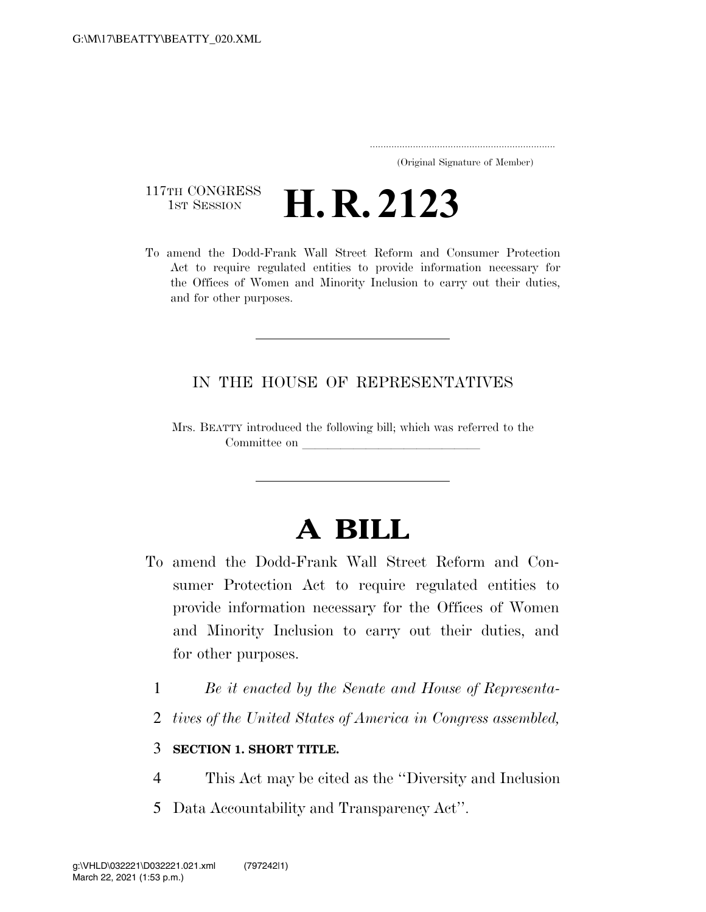..................................................................... (Original Signature of Member)

## 117TH CONGRESS<br>1st Session **H. R. 2123**

To amend the Dodd-Frank Wall Street Reform and Consumer Protection Act to require regulated entities to provide information necessary for the Offices of Women and Minority Inclusion to carry out their duties, and for other purposes.

### IN THE HOUSE OF REPRESENTATIVES

Mrs. BEATTY introduced the following bill; which was referred to the Committee on

# **A BILL**

- To amend the Dodd-Frank Wall Street Reform and Consumer Protection Act to require regulated entities to provide information necessary for the Offices of Women and Minority Inclusion to carry out their duties, and for other purposes.
	- 1 *Be it enacted by the Senate and House of Representa-*
	- 2 *tives of the United States of America in Congress assembled,*

### 3 **SECTION 1. SHORT TITLE.**

- 4 This Act may be cited as the ''Diversity and Inclusion
- 5 Data Accountability and Transparency Act''.